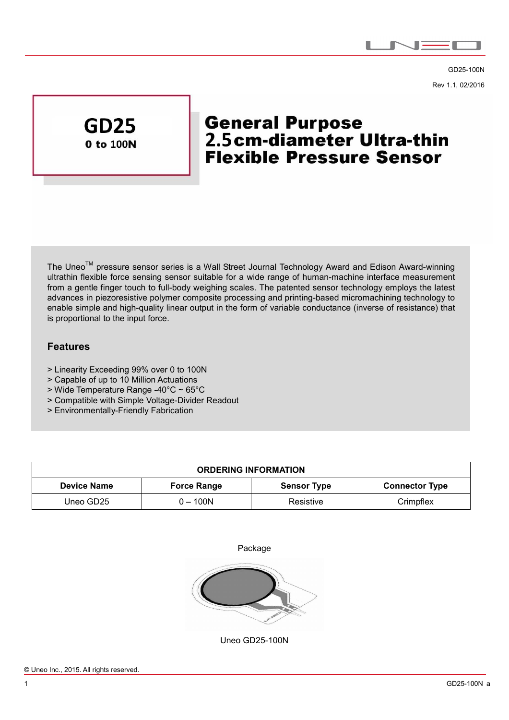

GD25-100N Rev 1.1, 02/2016



 $\overline{a}$ 

# **General Purpose** 2.5cm-diameter Ultra-thin **Flexible Pressure Sensor**

The Uneo<sup>™</sup> pressure sensor series is a Wall Street Journal Technology Award and Edison Award-winning ultrathin flexible force sensing sensor suitable for a wide range of human-machine interface measurement from a gentle finger touch to full-body weighing scales. The patented sensor technology employs the latest advances in piezoresistive polymer composite processing and printing-based micromachining technology to enable simple and high-quality linear output in the form of variable conductance (inverse of resistance) that is proportional to the input force.

### **Features**

- > Linearity Exceeding 99% over 0 to 100N
- > Capable of up to 10 Million Actuations
- > Wide Temperature Range -40°C ~ 65°C
- > Compatible with Simple Voltage-Divider Readout
- > Environmentally-Friendly Fabrication

| <b>ORDERING INFORMATION</b> |                    |                    |                       |  |  |
|-----------------------------|--------------------|--------------------|-----------------------|--|--|
| <b>Device Name</b>          | <b>Force Range</b> | <b>Sensor Type</b> | <b>Connector Type</b> |  |  |
| Uneo GD25                   | 0 – 100N           | Resistive          | Crimpflex             |  |  |





Uneo GD25-100N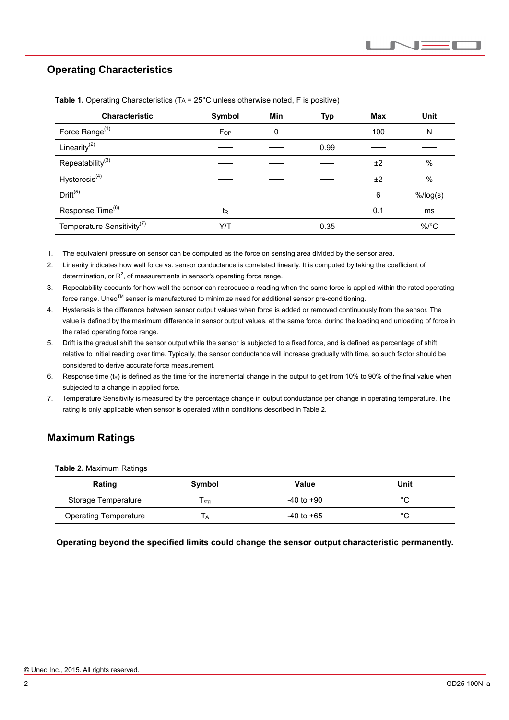## **Operating Characteristics**

 $\overline{a}$ 

| <b>Characteristic</b>                  | Symbol           | <b>Min</b> | <b>Typ</b> | <b>Max</b> | <b>Unit</b> |
|----------------------------------------|------------------|------------|------------|------------|-------------|
| Force Range <sup>(1)</sup>             | $F_{OP}$         | 0          |            | 100        | N           |
| Linearity $(2)$                        |                  |            | 0.99       |            |             |
| Repeatability <sup>(3)</sup>           |                  |            |            | ±2         | $\%$        |
| Hysteresis <sup>(4)</sup>              |                  |            |            | ±2         | $\%$        |
| Drift <sup>(5)</sup>                   |                  |            |            | 6          | $%$ /log(s) |
| Response Time <sup>(6)</sup>           | $t_{\mathsf{R}}$ |            |            | 0.1        | ms          |
| Temperature Sensitivity <sup>(7)</sup> | Y/T              |            | 0.35       |            | $\%$ /°C    |

**Table 1.** Operating Characteristics (TA = 25°C unless otherwise noted, F is positive)

1. The equivalent pressure on sensor can be computed as the force on sensing area divided by the sensor area.

- 2. Linearity indicates how well force vs. sensor conductance is correlated linearly. It is computed by taking the coefficient of determination, or  $R^2$ , of measurements in sensor's operating force range.
- 3. Repeatability accounts for how well the sensor can reproduce a reading when the same force is applied within the rated operating force range. Uneo<sup>™</sup> sensor is manufactured to minimize need for additional sensor pre-conditioning.
- 4. Hysteresis is the difference between sensor output values when force is added or removed continuously from the sensor. The value is defined by the maximum difference in sensor output values, at the same force, during the loading and unloading of force in the rated operating force range.
- 5. Drift is the gradual shift the sensor output while the sensor is subjected to a fixed force, and is defined as percentage of shift relative to initial reading over time. Typically, the sensor conductance will increase gradually with time, so such factor should be considered to derive accurate force measurement.
- 6. Response time  $(t_R)$  is defined as the time for the incremental change in the output to get from 10% to 90% of the final value when subjected to a change in applied force.
- 7. Temperature Sensitivity is measured by the percentage change in output conductance per change in operating temperature. The rating is only applicable when sensor is operated within conditions described in Table 2.

## **Maximum Ratings**

**Table 2.** Maximum Ratings

| Rating                       | Symbol | Value          | Unit         |
|------------------------------|--------|----------------|--------------|
| Storage Temperature          | I stg  | $-40$ to $+90$ | $\sim$       |
| <b>Operating Temperature</b> | ' A    | $-40$ to $+65$ | $\circ$<br>ັ |

**Operating beyond the specified limits could change the sensor output characteristic permanently.**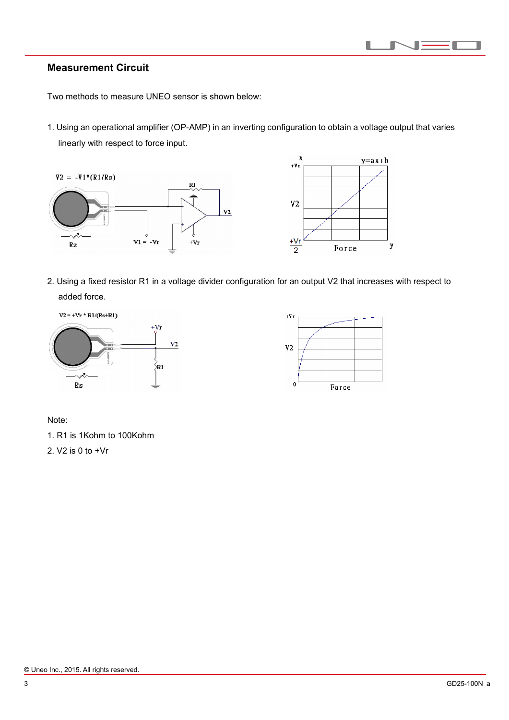

### **Measurement Circuit**

 $\overline{a}$ 

Two methods to measure UNEO sensor is shown below:

1. Using an operational amplifier (OP-AMP) in an inverting configuration to obtain a voltage output that varies linearly with respect to force input.



2. Using a fixed resistor R1 in a voltage divider configuration for an output V2 that increases with respect to added force.





Note:

1. R1 is 1Kohm to 100Kohm

2. V2 is 0 to +Vr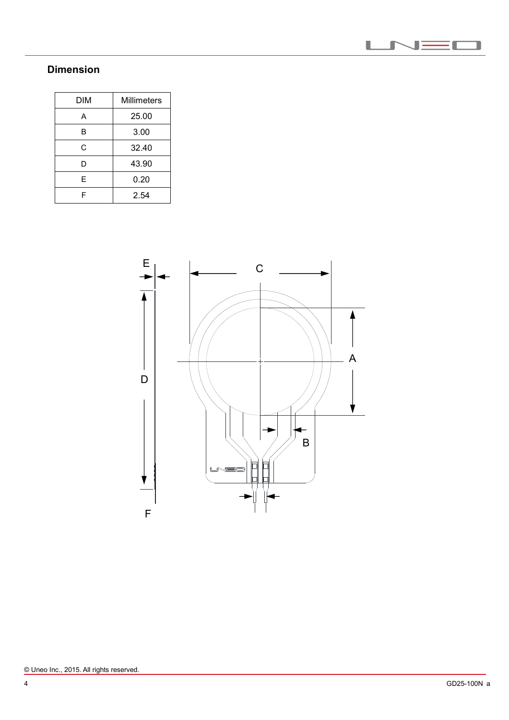

# **Dimension**

 $\overline{a}$ 

| DIM | Millimeters |  |
|-----|-------------|--|
| А   | 25.00       |  |
| в   | 3.00        |  |
| С   | 32.40       |  |
| D   | 43.90       |  |
| E   | 0.20        |  |
| F   | 2.54        |  |